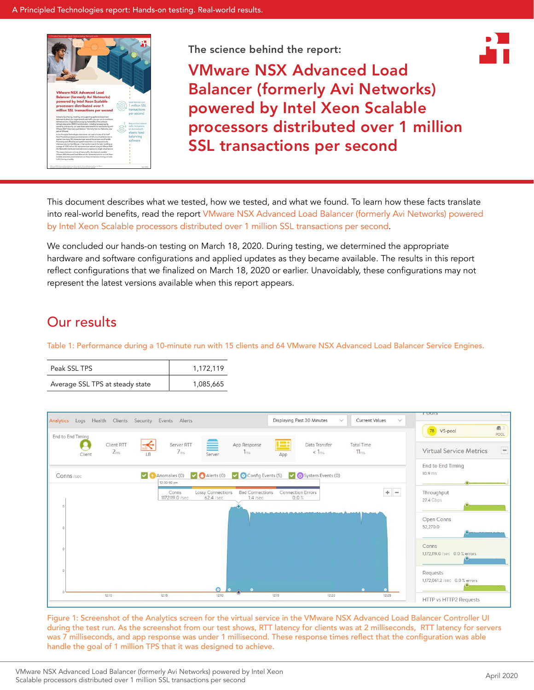

The science behind the report:



VMware NSX Advanced Load Balancer (formerly Avi Networks) powered by Intel Xeon Scalable processors distributed over 1 million SSL transactions per second

This document describes what we tested, how we tested, and what we found. To learn how these facts translate into real-world benefits, read the report [VMware NSX Advanced Load Balancer \(formerly Avi Networks\) powered](http://facts.pt/qnkyvbq)  [by Intel Xeon Scalable processors distributed over 1 million SSL transactions per second](http://facts.pt/qnkyvbq).

We concluded our hands-on testing on March 18, 2020. During testing, we determined the appropriate hardware and software configurations and applied updates as they became available. The results in this report reflect configurations that we finalized on March 18, 2020 or earlier. Unavoidably, these configurations may not represent the latest versions available when this report appears.

# Our results

Table 1: Performance during a 10-minute run with 15 clients and 64 VMware NSX Advanced Load Balancer Service Engines.

| Peak SSL TPS                    | 1.172.119 |
|---------------------------------|-----------|
| Average SSL TPS at steady state | 1,085,665 |



Figure 1: Screenshot of the Analytics screen for the virtual service in the VMware NSX Advanced Load Balancer Controller UI during the test run. As the screenshot from our test shows, RTT latency for clients was at 2 milliseconds, RTT latency for servers was 7 milliseconds, and app response was under 1 millisecond. These response times reflect that the configuration was able handle the goal of 1 million TPS that it was designed to achieve.

VMware NSX Advanced Load Balancer (formerly Avi Networks) powered by Intel Xeon Scalable processors distributed over 1 million SSL transactions per second<br>Scalable processors distributed over 1 million SSL transactions per second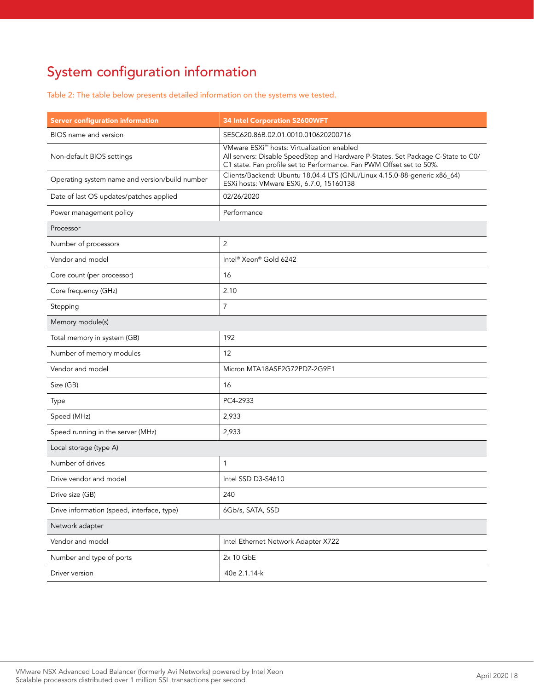# System configuration information

Table 2: The table below presents detailed information on the systems we tested.

| <b>Server configuration information</b>        | <b>34 Intel Corporation S2600WFT</b>                                                                                                                                                                               |  |
|------------------------------------------------|--------------------------------------------------------------------------------------------------------------------------------------------------------------------------------------------------------------------|--|
| BIOS name and version                          | SE5C620.86B.02.01.0010.010620200716                                                                                                                                                                                |  |
| Non-default BIOS settings                      | VMware ESXi <sup>™</sup> hosts: Virtualization enabled<br>All servers: Disable SpeedStep and Hardware P-States. Set Package C-State to C0/<br>C1 state. Fan profile set to Performance. Fan PWM Offset set to 50%. |  |
| Operating system name and version/build number | Clients/Backend: Ubuntu 18.04.4 LTS (GNU/Linux 4.15.0-88-generic x86_64)<br>ESXi hosts: VMware ESXi, 6.7.0, 15160138                                                                                               |  |
| Date of last OS updates/patches applied        | 02/26/2020                                                                                                                                                                                                         |  |
| Power management policy                        | Performance                                                                                                                                                                                                        |  |
| Processor                                      |                                                                                                                                                                                                                    |  |
| Number of processors                           | $\overline{2}$                                                                                                                                                                                                     |  |
| Vendor and model                               | Intel <sup>®</sup> Xeon® Gold 6242                                                                                                                                                                                 |  |
| Core count (per processor)                     | 16                                                                                                                                                                                                                 |  |
| Core frequency (GHz)                           | 2.10                                                                                                                                                                                                               |  |
| Stepping                                       | $\overline{7}$                                                                                                                                                                                                     |  |
| Memory module(s)                               |                                                                                                                                                                                                                    |  |
| Total memory in system (GB)                    | 192                                                                                                                                                                                                                |  |
| Number of memory modules                       | 12                                                                                                                                                                                                                 |  |
| Vendor and model                               | Micron MTA18ASF2G72PDZ-2G9E1                                                                                                                                                                                       |  |
| Size (GB)                                      | 16                                                                                                                                                                                                                 |  |
| Type                                           | PC4-2933                                                                                                                                                                                                           |  |
| Speed (MHz)                                    | 2,933                                                                                                                                                                                                              |  |
| Speed running in the server (MHz)              | 2,933                                                                                                                                                                                                              |  |
| Local storage (type A)                         |                                                                                                                                                                                                                    |  |
| Number of drives                               | 1                                                                                                                                                                                                                  |  |
| Drive vendor and model                         | Intel SSD D3-S4610                                                                                                                                                                                                 |  |
| Drive size (GB)                                | 240                                                                                                                                                                                                                |  |
| Drive information (speed, interface, type)     | 6Gb/s, SATA, SSD                                                                                                                                                                                                   |  |
| Network adapter                                |                                                                                                                                                                                                                    |  |
| Vendor and model                               | Intel Ethernet Network Adapter X722                                                                                                                                                                                |  |
| Number and type of ports                       | 2x 10 GbE                                                                                                                                                                                                          |  |
| Driver version                                 | i40e 2.1.14-k                                                                                                                                                                                                      |  |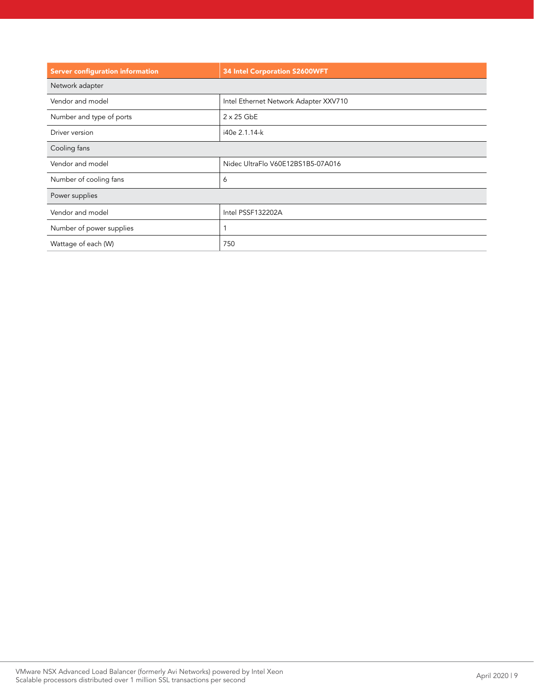| <b>Server configuration information</b> | <b>34 Intel Corporation S2600WFT</b>  |  |
|-----------------------------------------|---------------------------------------|--|
| Network adapter                         |                                       |  |
| Vendor and model                        | Intel Ethernet Network Adapter XXV710 |  |
| Number and type of ports                | $2 \times 25$ GbE                     |  |
| Driver version                          | i40e 2.1.14-k                         |  |
| Cooling fans                            |                                       |  |
| Vendor and model                        | Nidec UltraFlo V60E12BS1B5-07A016     |  |
| Number of cooling fans                  | 6                                     |  |
| Power supplies                          |                                       |  |
| Vendor and model                        | Intel PSSF132202A                     |  |
| Number of power supplies                | 1                                     |  |
| Wattage of each (W)                     | 750                                   |  |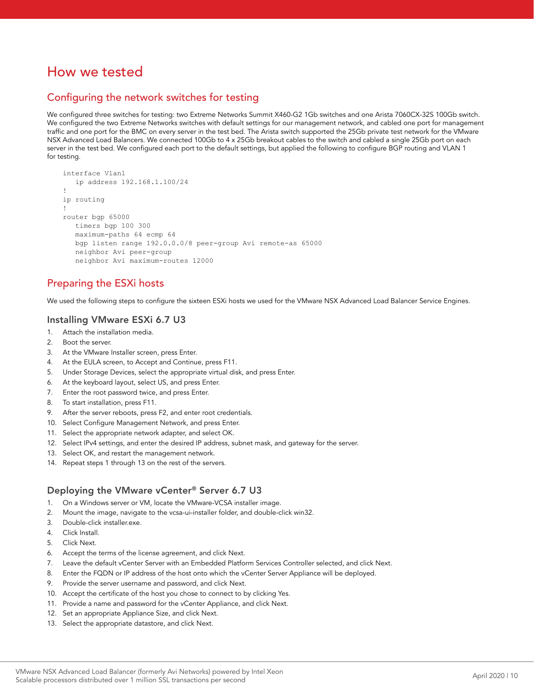# How we tested

# Configuring the network switches for testing

We configured three switches for testing: two Extreme Networks Summit X460-G2 1Gb switches and one Arista 7060CX-32S 100Gb switch. We configured the two Extreme Networks switches with default settings for our management network, and cabled one port for management traffic and one port for the BMC on every server in the test bed. The Arista switch supported the 25Gb private test network for the VMware NSX Advanced Load Balancers. We connected 100Gb to 4 x 25Gb breakout cables to the switch and cabled a single 25Gb port on each server in the test bed. We configured each port to the default settings, but applied the following to configure BGP routing and VLAN 1 for testing.

```
interface Vlan1
    ip address 192.168.1.100/24
!
ip routing
!
router bgp 65000
   timers bgp 100 300
   maximum-paths 64 ecmp 64
   bgp listen range 192.0.0.0/8 peer-group Avi remote-as 65000
   neighbor Avi peer-group
   neighbor Avi maximum-routes 12000
```
# Preparing the ESXi hosts

We used the following steps to configure the sixteen ESXi hosts we used for the VMware NSX Advanced Load Balancer Service Engines.

#### Installing VMware ESXi 6.7 U3

- 1. Attach the installation media.
- 2. Boot the server.
- 3. At the VMware Installer screen, press Enter.
- 4. At the EULA screen, to Accept and Continue, press F11.
- 5. Under Storage Devices, select the appropriate virtual disk, and press Enter.
- 6. At the keyboard layout, select US, and press Enter.
- 7. Enter the root password twice, and press Enter.
- 8. To start installation, press F11.
- 9. After the server reboots, press F2, and enter root credentials.
- 10. Select Configure Management Network, and press Enter.
- 11. Select the appropriate network adapter, and select OK.
- 12. Select IPv4 settings, and enter the desired IP address, subnet mask, and gateway for the server.
- 13. Select OK, and restart the management network.
- 14. Repeat steps 1 through 13 on the rest of the servers.

#### Deploying the VMware vCenter® Server 6.7 U3

- 1. On a Windows server or VM, locate the VMware-VCSA installer image.
- 2. Mount the image, navigate to the vcsa-ui-installer folder, and double-click win32.
- 3. Double-click installer.exe.
- 4. Click Install.
- 5. Click Next.
- 6. Accept the terms of the license agreement, and click Next.
- 7. Leave the default vCenter Server with an Embedded Platform Services Controller selected, and click Next.
- 8. Enter the FQDN or IP address of the host onto which the vCenter Server Appliance will be deployed.
- 9. Provide the server username and password, and click Next.
- 10. Accept the certificate of the host you chose to connect to by clicking Yes.
- 11. Provide a name and password for the vCenter Appliance, and click Next.
- 12. Set an appropriate Appliance Size, and click Next.
- 13. Select the appropriate datastore, and click Next.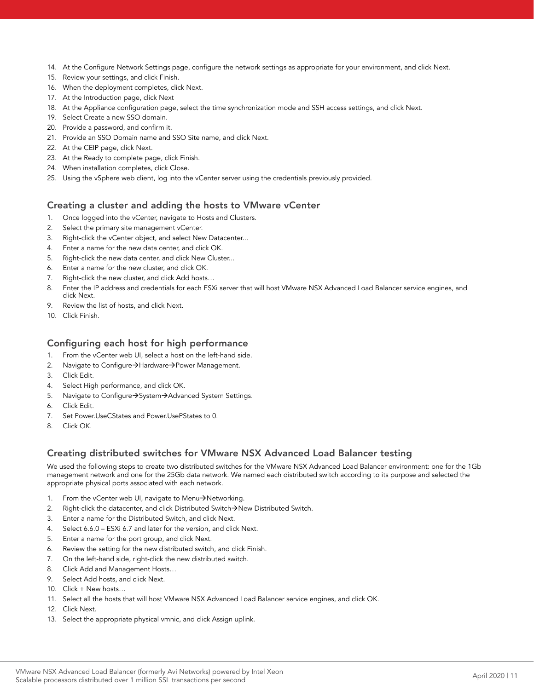- 14. At the Configure Network Settings page, configure the network settings as appropriate for your environment, and click Next.
- 15. Review your settings, and click Finish.
- 16. When the deployment completes, click Next.
- 17. At the Introduction page, click Next
- 18. At the Appliance configuration page, select the time synchronization mode and SSH access settings, and click Next.
- 19. Select Create a new SSO domain.
- 20. Provide a password, and confirm it.
- 21. Provide an SSO Domain name and SSO Site name, and click Next.
- 22. At the CEIP page, click Next.
- 23. At the Ready to complete page, click Finish.
- 24. When installation completes, click Close.
- 25. Using the vSphere web client, log into the vCenter server using the credentials previously provided.

#### Creating a cluster and adding the hosts to VMware vCenter

- 1. Once logged into the vCenter, navigate to Hosts and Clusters.
- 2. Select the primary site management vCenter.
- 3. Right-click the vCenter object, and select New Datacenter...
- 4. Enter a name for the new data center, and click OK.
- 5. Right-click the new data center, and click New Cluster...
- 6. Enter a name for the new cluster, and click OK.
- 7. Right-click the new cluster, and click Add hosts…
- 8. Enter the IP address and credentials for each ESXi server that will host VMware NSX Advanced Load Balancer service engines, and click Next.
- 9. Review the list of hosts, and click Next.
- 10. Click Finish.

#### Configuring each host for high performance

- 1. From the vCenter web UI, select a host on the left-hand side.
- 2. Navigate to Configure $\rightarrow$ Hardware $\rightarrow$ Power Management.
- 3. Click Edit.
- 4. Select High performance, and click OK.
- 5. Navigate to Configure > System > Advanced System Settings.
- 6. Click Edit.
- 7. Set Power.UseCStates and Power.UsePStates to 0.
- 8. Click OK.

#### Creating distributed switches for VMware NSX Advanced Load Balancer testing

We used the following steps to create two distributed switches for the VMware NSX Advanced Load Balancer environment: one for the 1Gb management network and one for the 25Gb data network. We named each distributed switch according to its purpose and selected the appropriate physical ports associated with each network.

- 1. From the vCenter web UI, navigate to Menu>Networking.
- 2. Right-click the datacenter, and click Distributed Switch $\rightarrow$ New Distributed Switch.
- 3. Enter a name for the Distributed Switch, and click Next.
- 4. Select 6.6.0 ESXi 6.7 and later for the version, and click Next.
- 5. Enter a name for the port group, and click Next.
- 6. Review the setting for the new distributed switch, and click Finish.
- 7. On the left-hand side, right-click the new distributed switch.
- 8. Click Add and Management Hosts…
- 9. Select Add hosts, and click Next.
- 10. Click + New hosts…
- 11. Select all the hosts that will host VMware NSX Advanced Load Balancer service engines, and click OK.
- 12. Click Next.
- 13. Select the appropriate physical vmnic, and click Assign uplink.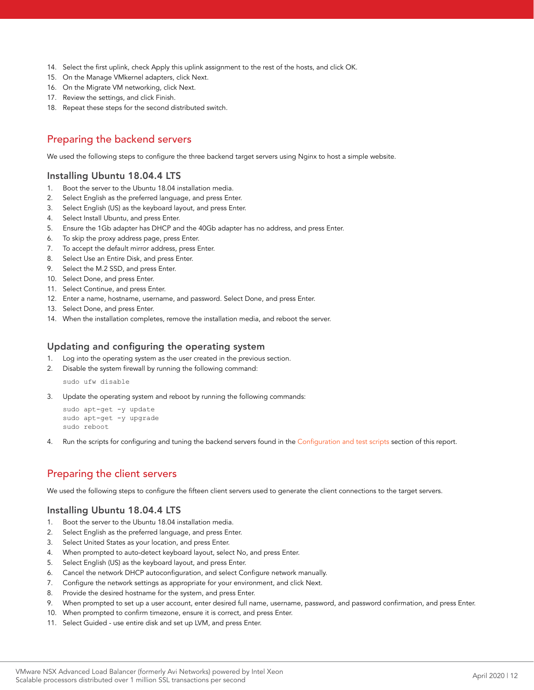- 14. Select the first uplink, check Apply this uplink assignment to the rest of the hosts, and click OK.
- 15. On the Manage VMkernel adapters, click Next.
- 16. On the Migrate VM networking, click Next.
- 17. Review the settings, and click Finish.
- 18. Repeat these steps for the second distributed switch.

# Preparing the backend servers

We used the following steps to configure the three backend target servers using Nginx to host a simple website.

# Installing Ubuntu 18.04.4 LTS

- 1. Boot the server to the Ubuntu 18.04 installation media.
- 2. Select English as the preferred language, and press Enter.
- 3. Select English (US) as the keyboard layout, and press Enter.
- 4. Select Install Ubuntu, and press Enter.
- 5. Ensure the 1Gb adapter has DHCP and the 40Gb adapter has no address, and press Enter.
- 6. To skip the proxy address page, press Enter.
- 7. To accept the default mirror address, press Enter.
- 8. Select Use an Entire Disk, and press Enter.
- 9. Select the M.2 SSD, and press Enter.
- 10. Select Done, and press Enter.
- 11. Select Continue, and press Enter.
- 12. Enter a name, hostname, username, and password. Select Done, and press Enter.
- 13. Select Done, and press Enter.
- 14. When the installation completes, remove the installation media, and reboot the server.

#### Updating and configuring the operating system

- 1. Log into the operating system as the user created in the previous section.
- 2. Disable the system firewall by running the following command:

sudo ufw disable

3. Update the operating system and reboot by running the following commands:

```
sudo apt-get -y update
sudo apt-get -y upgrade
sudo reboot
```
4. Run the scripts for configuring and tuning the backend servers found in the [Configuration and test scripts](#page-9-0) section of this report.

# Preparing the client servers

We used the following steps to configure the fifteen client servers used to generate the client connections to the target servers.

#### Installing Ubuntu 18.04.4 LTS

- 1. Boot the server to the Ubuntu 18.04 installation media.
- 2. Select English as the preferred language, and press Enter.
- 3. Select United States as your location, and press Enter.
- 4. When prompted to auto-detect keyboard layout, select No, and press Enter.
- 5. Select English (US) as the keyboard layout, and press Enter.
- 6. Cancel the network DHCP autoconfiguration, and select Configure network manually.
- 7. Configure the network settings as appropriate for your environment, and click Next.
- 8. Provide the desired hostname for the system, and press Enter.
- 9. When prompted to set up a user account, enter desired full name, username, password, and password confirmation, and press Enter.
- 10. When prompted to confirm timezone, ensure it is correct, and press Enter.
- 11. Select Guided use entire disk and set up LVM, and press Enter.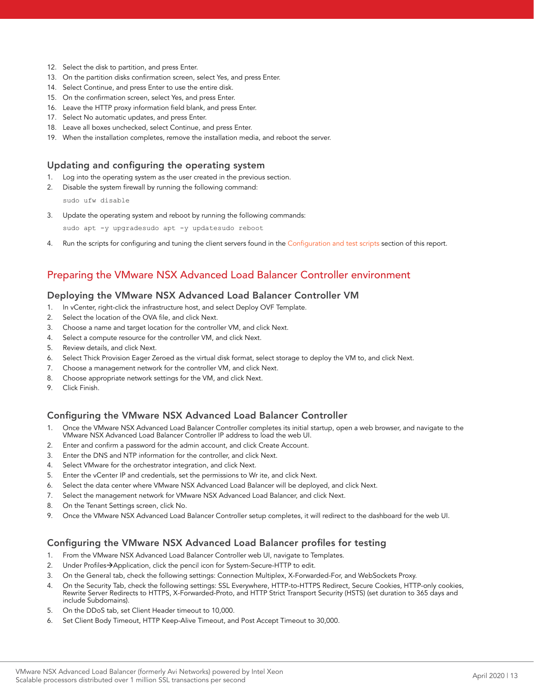- 12. Select the disk to partition, and press Enter.
- 13. On the partition disks confirmation screen, select Yes, and press Enter.
- 14. Select Continue, and press Enter to use the entire disk.
- 15. On the confirmation screen, select Yes, and press Enter.
- 16. Leave the HTTP proxy information field blank, and press Enter.
- 17. Select No automatic updates, and press Enter.
- 18. Leave all boxes unchecked, select Continue, and press Enter.
- 19. When the installation completes, remove the installation media, and reboot the server.

### Updating and configuring the operating system

- 1. Log into the operating system as the user created in the previous section.
- 2. Disable the system firewall by running the following command:

sudo ufw disable

3. Update the operating system and reboot by running the following commands:

sudo apt -y upgradesudo apt -y updatesudo reboot

4. Run the scripts for configuring and tuning the client servers found in the [Configuration and test scripts](#page-9-0) section of this report.

# Preparing the VMware NSX Advanced Load Balancer Controller environment

#### Deploying the VMware NSX Advanced Load Balancer Controller VM

- 1. In vCenter, right-click the infrastructure host, and select Deploy OVF Template.
- 2. Select the location of the OVA file, and click Next.
- 3. Choose a name and target location for the controller VM, and click Next.
- 4. Select a compute resource for the controller VM, and click Next.
- 5. Review details, and click Next.
- 6. Select Thick Provision Eager Zeroed as the virtual disk format, select storage to deploy the VM to, and click Next.
- 7. Choose a management network for the controller VM, and click Next.
- 8. Choose appropriate network settings for the VM, and click Next.
- 9. Click Finish.

#### Configuring the VMware NSX Advanced Load Balancer Controller

- 1. Once the VMware NSX Advanced Load Balancer Controller completes its initial startup, open a web browser, and navigate to the VMware NSX Advanced Load Balancer Controller IP address to load the web UI.
- 2. Enter and confirm a password for the admin account, and click Create Account.
- 3. Enter the DNS and NTP information for the controller, and click Next.
- 4. Select VMware for the orchestrator integration, and click Next.
- 5. Enter the vCenter IP and credentials, set the permissions to Wr ite, and click Next.
- 6. Select the data center where VMware NSX Advanced Load Balancer will be deployed, and click Next.
- 7. Select the management network for VMware NSX Advanced Load Balancer, and click Next.
- 8. On the Tenant Settings screen, click No.
- 9. Once the VMware NSX Advanced Load Balancer Controller setup completes, it will redirect to the dashboard for the web UI.

#### Configuring the VMware NSX Advanced Load Balancer profiles for testing

- 1. From the VMware NSX Advanced Load Balancer Controller web UI, navigate to Templates.
- 2. Under Profiles->Application, click the pencil icon for System-Secure-HTTP to edit.
- 3. On the General tab, check the following settings: Connection Multiplex, X-Forwarded-For, and WebSockets Proxy.
- 4. On the Security Tab, check the following settings: SSL Everywhere, HTTP-to-HTTPS Redirect, Secure Cookies, HTTP-only cookies, Rewrite Server Redirects to HTTPS, X-Forwarded-Proto, and HTTP Strict Transport Security (HSTS) (set duration to 365 days and include Subdomains).
- 5. On the DDoS tab, set Client Header timeout to 10,000.
- 6. Set Client Body Timeout, HTTP Keep-Alive Timeout, and Post Accept Timeout to 30,000.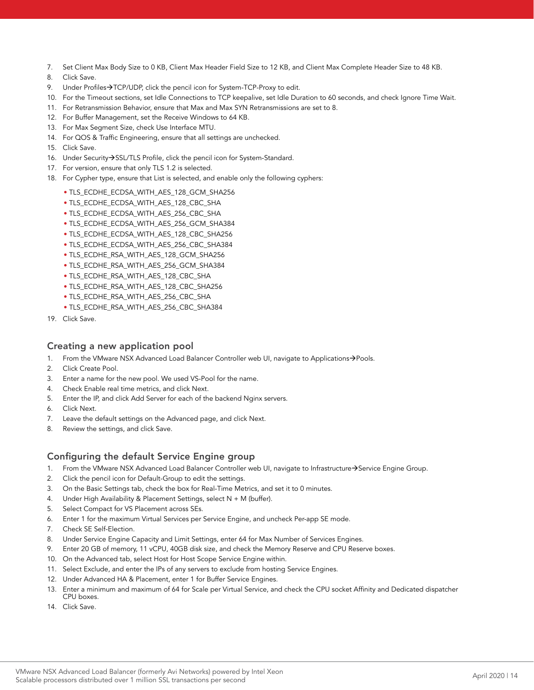- 7. Set Client Max Body Size to 0 KB, Client Max Header Field Size to 12 KB, and Client Max Complete Header Size to 48 KB.
- 8. Click Save.
- 9. Under Profiles $\rightarrow$ TCP/UDP, click the pencil icon for System-TCP-Proxy to edit.
- 10. For the Timeout sections, set Idle Connections to TCP keepalive, set Idle Duration to 60 seconds, and check Ignore Time Wait.
- 11. For Retransmission Behavior, ensure that Max and Max SYN Retransmissions are set to 8.
- 12. For Buffer Management, set the Receive Windows to 64 KB.
- 13. For Max Segment Size, check Use Interface MTU.
- 14. For QOS & Traffic Engineering, ensure that all settings are unchecked.
- 15. Click Save.
- 16. Under Security $\rightarrow$ SSL/TLS Profile, click the pencil icon for System-Standard.
- 17. For version, ensure that only TLS 1.2 is selected.
- 18. For Cypher type, ensure that List is selected, and enable only the following cyphers:
	- TLS\_ECDHE\_ECDSA\_WITH\_AES\_128\_GCM\_SHA256
	- TLS\_ECDHE\_ECDSA\_WITH\_AES\_128\_CBC\_SHA
	- TLS\_ECDHE\_ECDSA\_WITH\_AES\_256\_CBC\_SHA
	- TLS\_ECDHE\_ECDSA\_WITH\_AES\_256\_GCM\_SHA384
	- TLS\_ECDHE\_ECDSA\_WITH\_AES\_128\_CBC\_SHA256
	- TLS\_ECDHE\_ECDSA\_WITH\_AES\_256\_CBC\_SHA384
	- TLS\_ECDHE\_RSA\_WITH\_AES\_128\_GCM\_SHA256
	- TLS\_ECDHE\_RSA\_WITH\_AES\_256\_GCM\_SHA384
	- TLS\_ECDHE\_RSA\_WITH\_AES\_128\_CBC\_SHA
	- TLS\_ECDHE\_RSA\_WITH\_AES\_128\_CBC\_SHA256
	- TLS\_ECDHE\_RSA\_WITH\_AES\_256\_CBC\_SHA
	- TLS\_ECDHE\_RSA\_WITH\_AES\_256\_CBC\_SHA384
- 19. Click Save.

#### Creating a new application pool

- 1. From the VMware NSX Advanced Load Balancer Controller web UI, navigate to Applications->Pools.
- 2. Click Create Pool.
- 3. Enter a name for the new pool. We used VS-Pool for the name.
- 4. Check Enable real time metrics, and click Next.
- 5. Enter the IP, and click Add Server for each of the backend Nginx servers.
- 6. Click Next.
- 7. Leave the default settings on the Advanced page, and click Next.
- 8. Review the settings, and click Save.

#### Configuring the default Service Engine group

- 1. From the VMware NSX Advanced Load Balancer Controller web UI, navigate to Infrastructure->Service Engine Group.
- 2. Click the pencil icon for Default-Group to edit the settings.
- 3. On the Basic Settings tab, check the box for Real-Time Metrics, and set it to 0 minutes.
- 4. Under High Availability & Placement Settings, select N + M (buffer).
- 5. Select Compact for VS Placement across SEs.
- 6. Enter 1 for the maximum Virtual Services per Service Engine, and uncheck Per-app SE mode.
- 7. Check SE Self-Election.
- 8. Under Service Engine Capacity and Limit Settings, enter 64 for Max Number of Services Engines.
- 9. Enter 20 GB of memory, 11 vCPU, 40GB disk size, and check the Memory Reserve and CPU Reserve boxes.
- 10. On the Advanced tab, select Host for Host Scope Service Engine within.
- 11. Select Exclude, and enter the IPs of any servers to exclude from hosting Service Engines.
- 12. Under Advanced HA & Placement, enter 1 for Buffer Service Engines.
- 13. Enter a minimum and maximum of 64 for Scale per Virtual Service, and check the CPU socket Affinity and Dedicated dispatcher CPU boxes.
- 14. Click Save.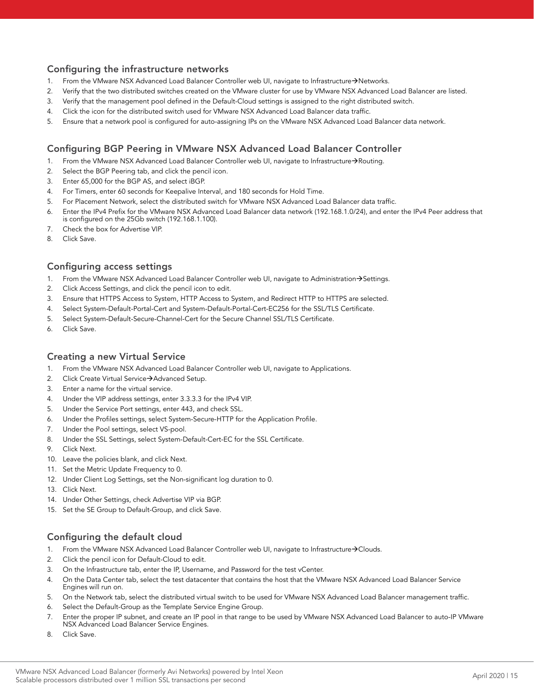# Configuring the infrastructure networks

- 1. From the VMware NSX Advanced Load Balancer Controller web UI, navigate to Infrastructure->Networks.
- 2. Verify that the two distributed switches created on the VMware cluster for use by VMware NSX Advanced Load Balancer are listed.
- 3. Verify that the management pool defined in the Default-Cloud settings is assigned to the right distributed switch.
- 4. Click the icon for the distributed switch used for VMware NSX Advanced Load Balancer data traffic.
- 5. Ensure that a network pool is configured for auto-assigning IPs on the VMware NSX Advanced Load Balancer data network.

# Configuring BGP Peering in VMware NSX Advanced Load Balancer Controller

- 1. From the VMware NSX Advanced Load Balancer Controller web UI, navigate to Infrastructure->Routing.
- 2. Select the BGP Peering tab, and click the pencil icon.
- 3. Enter 65,000 for the BGP AS, and select iBGP.
- 4. For Timers, enter 60 seconds for Keepalive Interval, and 180 seconds for Hold Time.
- 5. For Placement Network, select the distributed switch for VMware NSX Advanced Load Balancer data traffic.
- 6. Enter the IPv4 Prefix for the VMware NSX Advanced Load Balancer data network (192.168.1.0/24), and enter the IPv4 Peer address that is configured on the 25Gb switch (192.168.1.100).
- 7. Check the box for Advertise VIP.
- 8. Click Save.

#### Configuring access settings

- 1. From the VMware NSX Advanced Load Balancer Controller web UI, navigate to Administration->Settings.
- 2. Click Access Settings, and click the pencil icon to edit.
- 3. Ensure that HTTPS Access to System, HTTP Access to System, and Redirect HTTP to HTTPS are selected.
- 4. Select System-Default-Portal-Cert and System-Default-Portal-Cert-EC256 for the SSL/TLS Certificate.
- 5. Select System-Default-Secure-Channel-Cert for the Secure Channel SSL/TLS Certificate.
- 6. Click Save.

#### Creating a new Virtual Service

- 1. From the VMware NSX Advanced Load Balancer Controller web UI, navigate to Applications.
- 2. Click Create Virtual Service->Advanced Setup.
- 3. Enter a name for the virtual service.
- 4. Under the VIP address settings, enter 3.3.3.3 for the IPv4 VIP.
- 5. Under the Service Port settings, enter 443, and check SSL.
- 6. Under the Profiles settings, select System-Secure-HTTP for the Application Profile.
- 7. Under the Pool settings, select VS-pool.
- 8. Under the SSL Settings, select System-Default-Cert-EC for the SSL Certificate.
- 9. Click Next.
- 10. Leave the policies blank, and click Next.
- 11. Set the Metric Update Frequency to 0.
- 12. Under Client Log Settings, set the Non-significant log duration to 0.
- 13. Click Next.
- 14. Under Other Settings, check Advertise VIP via BGP.
- 15. Set the SE Group to Default-Group, and click Save.

#### Configuring the default cloud

- 1. From the VMware NSX Advanced Load Balancer Controller web UI, navigate to Infrastructure->Clouds.
- 2. Click the pencil icon for Default-Cloud to edit.
- 3. On the Infrastructure tab, enter the IP, Username, and Password for the test vCenter.
- 4. On the Data Center tab, select the test datacenter that contains the host that the VMware NSX Advanced Load Balancer Service Engines will run on.
- 5. On the Network tab, select the distributed virtual switch to be used for VMware NSX Advanced Load Balancer management traffic.
- 6. Select the Default-Group as the Template Service Engine Group.
- 7. Enter the proper IP subnet, and create an IP pool in that range to be used by VMware NSX Advanced Load Balancer to auto-IP VMware NSX Advanced Load Balancer Service Engines.
- 8. Click Save.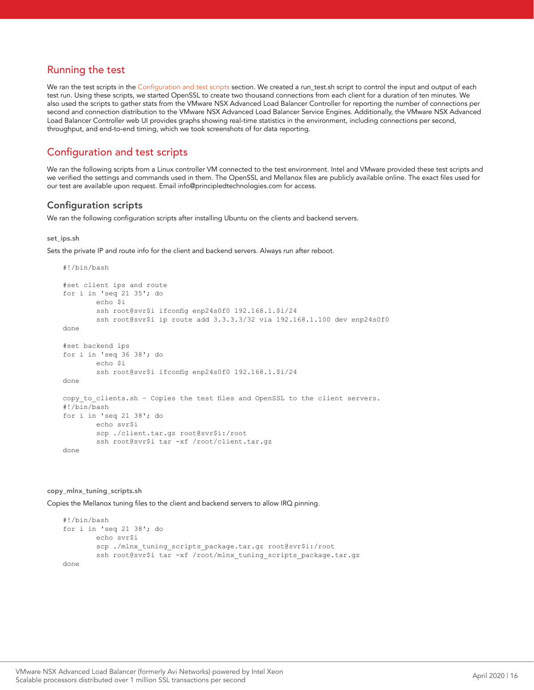# Running the test

We ran the test scripts in the [Configuration and test scripts](#page-9-0) section. We created a run\_test.sh script to control the input and output of each test run. Using these scripts, we started OpenSSL to create two thousand connections from each client for a duration of ten minutes. We also used the scripts to gather stats from the VMware NSX Advanced Load Balancer Controller for reporting the number of connections per second and connection distribution to the VMware NSX Advanced Load Balancer Service Engines. Additionally, the VMware NSX Advanced Load Balancer Controller web UI provides graphs showing real-time statistics in the environment, including connections per second, throughput, and end-to-end timing, which we took screenshots of for data reporting.

# <span id="page-9-0"></span>Configuration and test scripts

We ran the following scripts from a Linux controller VM connected to the test environment. Intel and VMware provided these test scripts and we verified the settings and commands used in them. The OpenSSL and Mellanox files are publicly available online. The exact files used for our test are available upon request. Email info@principledtechnologies.com for access.

## Configuration scripts

We ran the following configuration scripts after installing Ubuntu on the clients and backend servers.

#### set ips.sh

Sets the private IP and route info for the client and backend servers. Always run after reboot.

```
#!/bin/bash
#set client ips and route
for i in 'seq 21 35'; do
         echo $i
         ssh root@svr$i ifconfig enp24s0f0 192.168.1.$i/24
         ssh root@svr$i ip route add 3.3.3.3/32 via 192.168.1.100 dev enp24s0f0
done
#set backend ips
for i in 'seq 36 38'; do
         echo $i
         ssh root@svr$i ifconfig enp24s0f0 192.168.1.$i/24
done
copy to clients.sh - Copies the test files and OpenSSL to the client servers.
#!/bin/bash
for i in 'seq 21 38'; do
         echo svr$i
         scp ./client.tar.gz root@svr$i:/root
        ssh root@svr$i tar -xf /root/client.tar.gz
done
```
#### copy\_mlnx\_tuning\_scripts.sh

Copies the Mellanox tuning files to the client and backend servers to allow IRQ pinning.

```
#!/bin/bash
for i in 'seq 21 38'; do
         echo svr$i
        scp ./mlnx tuning scripts package.tar.gz root@svr$i:/root
        ssh root@svr$i tar -xf /root/mlnx_tuning_scripts_package.tar.gz
done
```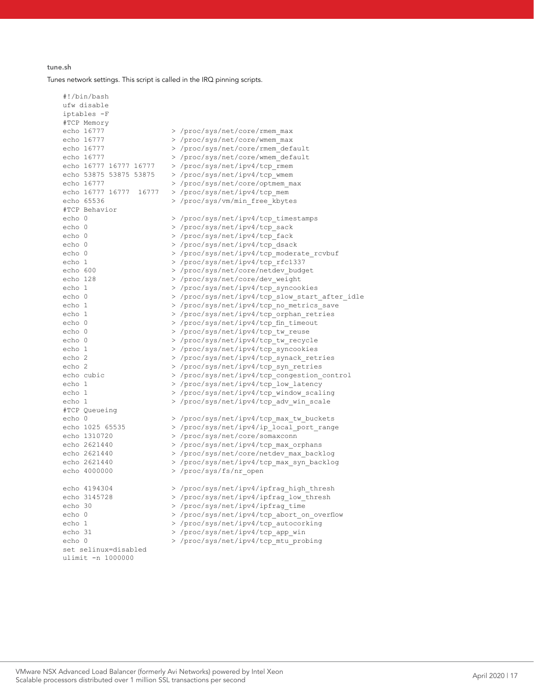#### tune.sh

#!/bin/bash

Tunes network settings. This script is called in the IRQ pinning scripts.

ufw disable iptables -F #TCP Memory echo 16777 > /proc/sys/net/core/rmem\_max<br>echo 16777 > /proc/sys/net/core/wmem\_max > /proc/sys/net/core/wmem\_max echo 16777 > /proc/sys/net/core/rmem\_default<br>echo 16777 > /proc/sys/net/core/wmem\_default echo 16777  $\rightarrow$  /proc/sys/net/core/wmem\_default<br>echo 16777 16777 16777  $\rightarrow$  /proc/sys/net/ipv4/tcp rmem echo 16777 16777 16777 > /proc/sys/net/ipv4/tcp\_rmem echo 53875 53875 53875 > /proc/sys/net/ipv4/tcp\_wmem<br>echo 16777 > /proc/sys/net/core/optmem m > /proc/sys/net/core/optmem\_max echo 16777 16777 16777 > /proc/sys/net/ipv4/tcp\_mem<br>echo 65536 > /proc/sys/ym/min free khyte > /proc/sys/vm/min\_free\_kbytes #TCP Behavior > /proc/sys/net/ipv4/tcp\_timestamps echo 0  $>$  /proc/sys/net/ipv4/tcp\_sack<br>echo 0  $>$  /proc/sys/net/ipv4/tcp\_fack echo 0  $\rightarrow$  /proc/sys/net/ipv4/tcp\_fack<br>echo 0 > /proc/sys/net/ipv4/tcp\_dsac echo 0  $\rightarrow$  /proc/sys/net/ipv4/tcp\_dsack<br>echo 0 > /proc/sys/net/ipv4/tcp\_moder echo 0  $\rightarrow$  /proc/sys/net/ipv4/tcp\_moderate\_rcvbuf<br>echo 1  $\rightarrow$  /proc/sys/net/ipv4/tcp\_rfc1337 > /proc/sys/net/ipv4/tcp\_rfc1337 echo 600 > /proc/sys/net/core/netdev\_budget echo 128 > /proc/sys/net/core/dev\_weight<br>echo 1 > /proc/sys/net/ipv4/tcp\_syncoo echo 1  $\rangle$ /proc/sys/net/ipv4/tcp\_syncookies<br>echo 0 > /proc/sys/net/ipv4/tcp\_slow\_start echo 0  $\rightarrow$  /proc/sys/net/ipv4/tcp\_slow\_start\_after\_idle<br>echo 1 > /proc/sys/net/ipv4/tcp\_no\_metrics\_save echo 1  $\rightarrow$  /proc/sys/net/ipv4/tcp\_no\_metrics\_save<br>  $\rightarrow$  /proc/sys/net/ipv4/tcp\_orphan\_retries echo 1  $\rightarrow$  /proc/sys/net/ipv4/tcp\_orphan\_retries<br>echo 0  $\rightarrow$  /proc/sys/net/ipv4/tcp\_fin\_timeout echo 0  $\rightarrow$  /proc/sys/net/ipv4/tcp\_fin\_timeout<br>echo 0  $\rightarrow$  /proc/sys/net/ipv4/tcp\_tw\_reuse echo 0  $>$  /proc/sys/net/ipv4/tcp\_tw\_reuse<br>echo 0  $>$  /proc/sys/net/ipv4/tcp\_tw\_recvc echo 0  $\rightarrow$  /proc/sys/net/ipv4/tcp\_tw\_recycle<br>  $\rightarrow$  /proc/sys/net/ipv4/tcp\_syncookies echo 1  $\rangle$ /proc/sys/net/ipv4/tcp\_syncookies<br>echo 2 > /proc/sys/net/ipv4/tcp\_synack\_ret echo 2  $\rightarrow$  /proc/sys/net/ipv4/tcp\_synack\_retries<br>echo 2 > /proc/sys/net/ipv4/tcp\_syn\_retries echo 2 > /proc/sys/net/ipv4/tcp\_syn\_retries<br>echo cubic > /proc/sys/net/ipv4/tcp\_congestion > /proc/sys/net/ipv4/tcp\_congestion\_control echo 1  $\frac{\text{proc/sys/net/ipv4/trp\_low\_latency}}{\text{proc/sys/net/ipv4/trp\_window\_scal}}$ echo 1 > /proc/sys/net/ipv4/tcp\_window\_scaling<br>
> /proc/sys/net/ipv4/tcp\_adv\_win\_scale > /proc/sys/net/ipv4/tcp\_adv\_win\_scale #TCP Queueing echo 0  $\rightarrow$  /proc/sys/net/ipv4/tcp\_max\_tw\_buckets<br>echo 1025 65535 > /proc/sys/net/ipv4/ip local port rang echo 1025 65535 > /proc/sys/net/ipv4/ip\_local\_port\_range echo 1310720 > /proc/sys/net/core/somaxconn<br>echo 2621440 > /proc/sys/net/ipy4/tcp\_max\_o echo 2621440 > /proc/sys/net/ipv4/tcp\_max\_orphans<br>echo 2621440 > /proc/sys/net/core/netdev max back > /proc/sys/net/core/netdev max backlog echo 2621440  $\rightarrow$  /proc/sys/net/ipv4/tcp\_max\_syn\_backlog<br>echo 4000000  $\rightarrow$  /proc/sys/fs/nr open > /proc/sys/fs/nr open echo 4194304 > /proc/sys/net/ipv4/ipfrag\_high\_thresh<br>echo 3145728 > /proc/sys/net/ipv4/ipfrag\_low\_thresh echo 3145728 > /proc/sys/net/ipv4/ipfrag\_low\_thresh<br>echo 30 > /proc/sys/net/ipv4/ipfrag\_time > /proc/sys/net/ipv4/ipfrag\_time echo 0  $\rightarrow$  /proc/sys/net/ipv4/tcp\_abort\_on\_overflow<br>
> /proc/sys/net/ipv4/tcp\_autocorking echo 1  $\rightarrow$  /proc/sys/net/ipv4/tcp\_autocorking<br>echo 31 > /proc/sys/net/ipv4/tcp\_app\_win echo 31 > /proc/sys/net/ipv4/tcp\_app\_win<br>echo 0 > /proc/sys/net/ipv4/tcp\_mtu\_pro > /proc/sys/net/ipv4/tcp\_mtu\_probing set selinux=disabled ulimit -n 1000000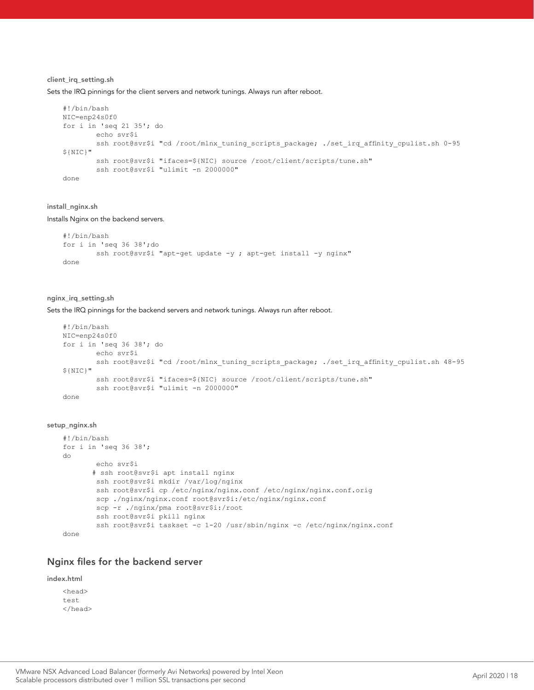#### client\_irq\_setting.sh

Sets the IRQ pinnings for the client servers and network tunings. Always run after reboot.

```
#!/bin/bash
NIC=enp24s0f0
for i in 'seq 21 35'; do
         echo svr$i
        ssh root@svr$i "cd /root/mlnx_tuning_scripts_package; ./set_irq_affinity_cpulist.sh 0-95
${NIC}"
         ssh root@svr$i "ifaces=${NIC} source /root/client/scripts/tune.sh"
         ssh root@svr$i "ulimit -n 2000000"
done
```
#### install\_nginx.sh

Installs Nginx on the backend servers.

```
#!/bin/bash
for i in 'seq 36 38';do
       ssh root@svr$i "apt-get update -y ; apt-get install -y nginx"
done
```
#### nginx\_irq\_setting.sh

Sets the IRQ pinnings for the backend servers and network tunings. Always run after reboot.

```
#!/bin/bash
NIC=enp24s0f0
for i in 'seq 36 38'; do
         echo svr$i
        ssh root@svr$i "cd /root/mlnx tuning scripts package; ./set irq affinity cpulist.sh 48-95
${NIC}"
         ssh root@svr$i "ifaces=${NIC} source /root/client/scripts/tune.sh"
         ssh root@svr$i "ulimit -n 2000000"
done
```
#### setup\_nginx.sh

```
#!/bin/bash
for i in 'seq 36 38';
do
         echo svr$i
        # ssh root@svr$i apt install nginx
         ssh root@svr$i mkdir /var/log/nginx
        ssh root@svr$i cp /etc/nginx/nginx.conf /etc/nginx/nginx.conf.orig
        scp ./nginx/nginx.conf root@svr$i:/etc/nginx/nginx.conf
        scp -r ./nginx/pma root@svr$i:/root
         ssh root@svr$i pkill nginx
        ssh root@svr$i taskset -c 1-20 /usr/sbin/nginx -c /etc/nginx/nginx.conf
done
```
#### Nginx files for the backend server

index.html

<head> test </head>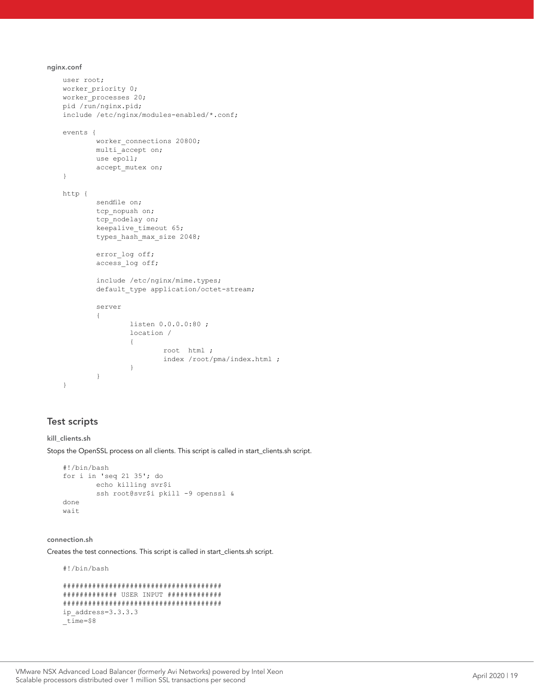nginx.conf

```
user root;
worker priority 0;
worker_processes 20;
pid /run/nginx.pid;
include /etc/nginx/modules-enabled/*.conf;
events {
       worker connections 20800;
       multi accept on;
        use epoll;
       accept mutex on;
}
http {
        sendfile on;
        tcp_nopush on;
       tcp_nodelay on;
       keepalive timeout 65;
       types hash max size 2048;
        error_log off;
        access_log off;
         include /etc/nginx/mime.types;
       default type application/octet-stream;
        server
\{ listen 0.0.0.0:80 ;
                location /
 {
                        root html ;
               index /root/pma/index.html ;
 }
        }
}
```
# Test scripts

#### kill\_clients.sh

Stops the OpenSSL process on all clients. This script is called in start\_clients.sh script.

```
#!/bin/bash
for i in 'seq 21 35'; do
        echo killing svr$i
        ssh root@svr$i pkill -9 openssl &
done
wait
```
#### connection.sh

Creates the test connections. This script is called in start\_clients.sh script.

#!/bin/bash

```
######################################
############# USER INPUT #############
######################################
ip_address=3.3.3.3
_time=$8
```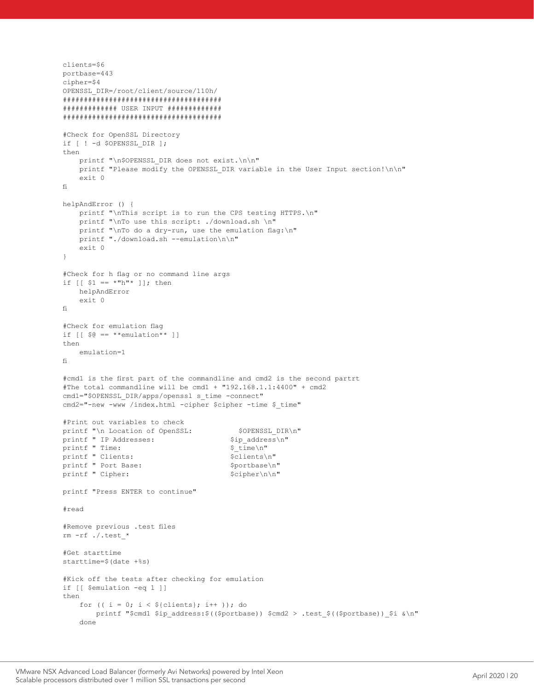```
clients=$6
portbase=443
cipher=$4
OPENSSL_DIR=/root/client/source/110h/
######################################
############# USER INPUT #############
######################################
#Check for OpenSSL Directory
if [ ! -d $OPENSSL_DIR ];
then
    printf "\n$OPENSSL DIR does not exist.\n\n"
     printf "Please modify the OPENSSL_DIR variable in the User Input section!\n\n"
     exit 0
fi
helpAndError () {
    printf "\nThis script is to run the CPS testing HTTPS.\n"
    printf "\nTo use this script: ./download.sh \n"
    printf "\nTo do a dry-run, use the emulation flag:\n"
     printf "./download.sh --emulation\n\n"
     exit 0
}
#Check for h flag or no command line args
if [ [ $1 = * "h" * ] ]; then
     helpAndError
     exit 0
fi
#Check for emulation flag
if [ \$ \theta == **emulation** ]]
then
     emulation=1
fi
#cmd1 is the first part of the commandline and cmd2 is the second partrt
#The total commandline will be cmd1 + "192.168.1.1:4400" + cmd2
cmd1="$OPENSSL_DIR/apps/openssl s_time -connect"
cmd2="-new -www /index.html -cipher $cipher -time $ time"
#Print out variables to check
printf "\n Location of OpenSSL: $OPENSSL_DIR\n"<br>printf " IP Addresses: $ip address\n"
printf " IP Addresses: \sin \frac{\pi}{2} sip_addre<br>printf " Time: $\time\n"
printf " Time:
printf " Clients: \text{Sclients}\n" printf " Port Base: \text{Sportbase}\n"
printf " Port Base: $portbase\n"<br>printf " Cipher: $cipher\n\n"
printf " Cipher:
printf "Press ENTER to continue"
#read
#Remove previous .test files
rm -rf ./.test_*
#Get starttime 
starttime=$(date +%s)
#Kick off the tests after checking for emulation
if [[ $emulation -eq 1 ]]
then
    for (( i = 0; i < ${clients}; i++); do
       printf "$cmd1 $ip address:$(($portbase)) $cmd2 > .test $(($portbase)) $i &\n"
     done
```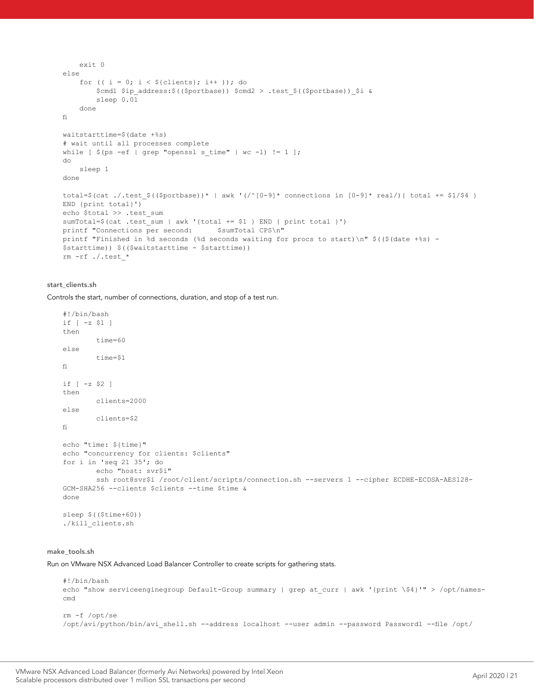```
 exit 0
else
    for (( i = 0; i < ${clients}; i++ )); do
         $cmd1 $ip_address:$(($portbase)) $cmd2 > .test_$(($portbase))_$i &
         sleep 0.01
     done
fi
waitstarttime=$(date +%s)
# wait until all processes complete
while [ \S(ps -ef | grep "openssl s time" | wc -l) != 1 ];
do
     sleep 1
done
total=$(cat ./.test $(($portbase))* | awk '(/^[0-9]* connections in [0-9]* real/){ total += $1/$4 }
END {print total}')
echo $total >> .test sum
sumTotal=$(cat .test_sum | awk '{total += $1 } END { print total }') print "Connections per second: $sumTotal CPS\n"
printf "Connections per second:
printf "Finished in %d seconds (%d seconds waiting for procs to start)\n" $(($(date +%s) - 
$starttime)) $(($waitstarttime - $starttime))
rm -rf ./.test_*
```
#### start\_clients.sh

Controls the start, number of connections, duration, and stop of a test run.

```
#!/bin/bash
if [ -z $1 ]
then
         time=60
else
         time=$1
fi
if [ -z $2 ]
then
         clients=2000
else
         clients=$2
fi
echo "time: ${time}"
echo "concurrency for clients: $clients"
for i in 'seq 21 35'; do
        echo "host: svr$i"
       ssh root@svr$i /root/client/scripts/connection.sh --servers 1 --cipher ECDHE-ECDSA-AES128-
GCM-SHA256 --clients $clients --time $time &
done
sleep $(($time+60))
./kill_clients.sh
```
#### make\_tools.sh

Run on VMware NSX Advanced Load Balancer Controller to create scripts for gathering stats.

```
#!/bin/bash
echo "show serviceenginegroup Default-Group summary | grep at curr | awk '{print \$4}'" > /opt/names-
cmd
rm -f /opt/se
/opt/avi/python/bin/avi_shell.sh --address localhost --user admin --password Password1 --file /opt/
```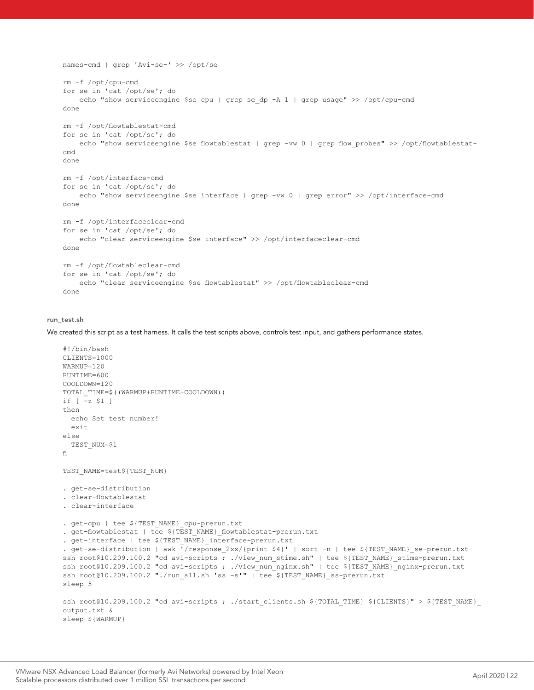```
names-cmd | grep 'Avi-se-' >> /opt/se
rm -f /opt/cpu-cmd
for se in 'cat /opt/se'; do
    echo "show serviceengine $se cpu | grep se_dp -A 1 | grep usage" >> /opt/cpu-cmd
done
rm -f /opt/flowtablestat-cmd
for se in 'cat /opt/se'; do
   echo "show serviceengine $se flowtablestat | grep -vw 0 | grep flow_probes" >> /opt/flowtablestat-
cmd
done
rm -f /opt/interface-cmd
for se in 'cat /opt/se'; do
    echo "show serviceengine $se interface | grep -vw 0 | grep error" >> /opt/interface-cmd
done
rm -f /opt/interfaceclear-cmd
for se in 'cat /opt/se'; do
     echo "clear serviceengine $se interface" >> /opt/interfaceclear-cmd
done
rm -f /opt/flowtableclear-cmd
for se in 'cat /opt/se'; do
    echo "clear serviceengine $se flowtablestat" >> /opt/flowtableclear-cmd
done
```
#### run\_test.sh

We created this script as a test harness. It calls the test scripts above, controls test input, and gathers performance states.

```
#!/bin/bash
CLIENTS=1000
WARMUP=120
RUNTIME=600
COOLDOWN=120
TOTAL_TIME=$((WARMUP+RUNTIME+COOLDOWN))
if [ -z $1 ]
then
  echo Set test number!
 e^{i\pi}else
  TEST_NUM=$1
fi
TEST_NAME=test${TEST_NUM}
. get-se-distribution
. clear-flowtablestat
. clear-interface
. get-cpu | tee ${TEST_NAME}_cpu-prerun.txt
. get-flowtablestat | tee ${TEST_NAME}_flowtablestat-prerun.txt
. get-interface | tee ${TEST_NAME}_interface-prerun.txt
. get-se-distribution | awk '/response_2xx/{print $4}' | sort -n | tee ${TEST_NAME}_se-prerun.txt
ssh root@10.209.100.2 "cd avi-scripts ; ./view_num_stime.sh" | tee ${TEST_NAME} stime-prerun.txt
ssh root@10.209.100.2 "cd avi-scripts ; ./view_num_nginx.sh" | tee ${TEST_NAME}_nginx-prerun.txt
ssh root@10.209.100.2 "./run_all.sh 'ss -s'" | tee ${TEST_NAME}_ss-prerun.txt
sleep 5
ssh root@10.209.100.2 "cd avi-scripts ; ./start clients.sh ${TOTAL TIME} ${CLIENTS}" > ${TEST NAME}
output.txt &
sleep ${WARMUP}
```